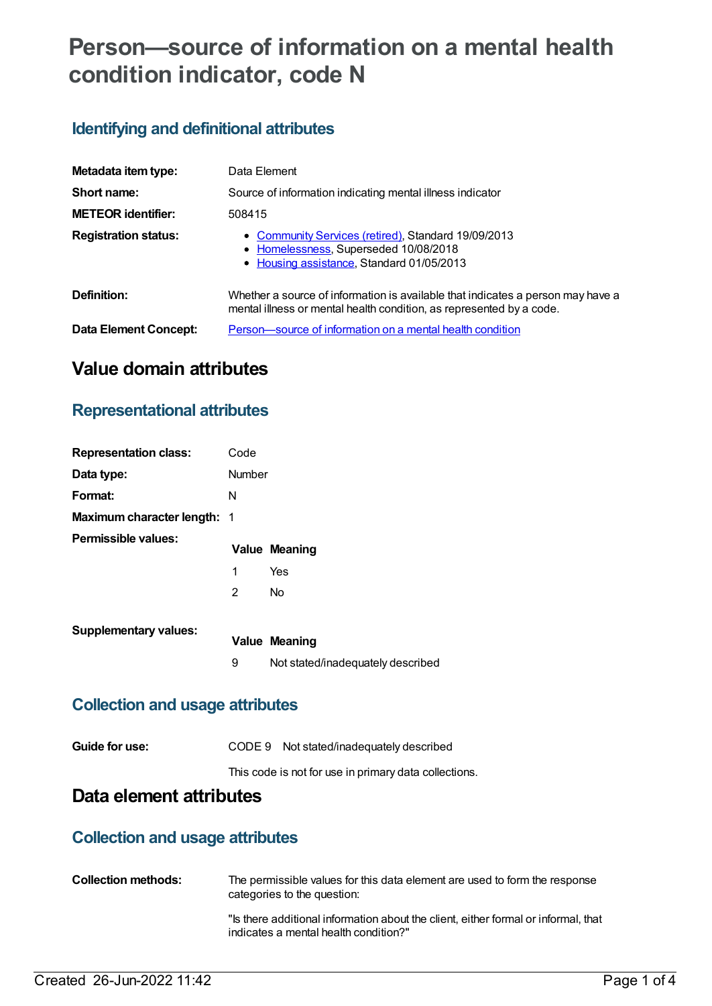# **Person—source of information on a mental health condition indicator, code N**

### **Identifying and definitional attributes**

| Metadata item type:          | Data Element                                                                                                                                            |
|------------------------------|---------------------------------------------------------------------------------------------------------------------------------------------------------|
| Short name:                  | Source of information indicating mental illness indicator                                                                                               |
| <b>METEOR</b> identifier:    | 508415                                                                                                                                                  |
| <b>Registration status:</b>  | • Community Services (retired), Standard 19/09/2013<br>• Homelessness, Superseded 10/08/2018<br>• Housing assistance, Standard 01/05/2013               |
| Definition:                  | Whether a source of information is available that indicates a person may have a<br>mental illness or mental health condition, as represented by a code. |
| <b>Data Element Concept:</b> | Person-source of information on a mental health condition                                                                                               |

# **Value domain attributes**

### **Representational attributes**

| <b>Representation class:</b>       | Code   |                                   |
|------------------------------------|--------|-----------------------------------|
| Data type:                         | Number |                                   |
| Format:                            | N      |                                   |
| <b>Maximum character length: 1</b> |        |                                   |
| Permissible values:                |        | <b>Value Meaning</b>              |
|                                    | 1      | Yes                               |
|                                    | 2      | No                                |
| <b>Supplementary values:</b>       |        |                                   |
|                                    |        | <b>Value Meaning</b>              |
|                                    | 9      | Not stated/inadequately described |

### **Collection and usage attributes**

| Guide for use: | CODE 9 Not stated/inadequately described              |
|----------------|-------------------------------------------------------|
|                | This code is not for use in primary data collections. |

# **Data element attributes**

### **Collection and usage attributes**

| <b>Collection methods:</b> | The permissible values for this data element are used to form the response<br>categories to the question:                   |
|----------------------------|-----------------------------------------------------------------------------------------------------------------------------|
|                            | "Is there additional information about the client, either formal or informal, that<br>indicates a mental health condition?" |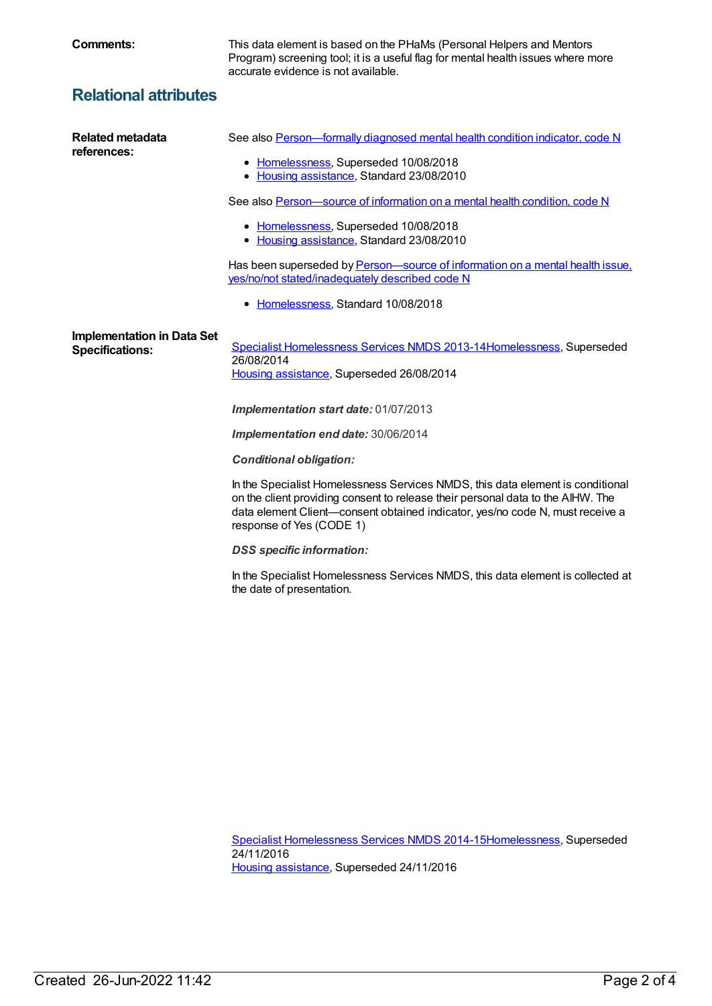**Comments:** This data element is based on the PHaMs (Personal Helpers and Mentors Program) screening tool; it is a useful flag for mental health issues where more accurate evidence is not available.

# **Relational attributes**

| <b>Related metadata</b><br>references:                      | See also Person-formally diagnosed mental health condition indicator, code N                                                                                                                                                                                                   |
|-------------------------------------------------------------|--------------------------------------------------------------------------------------------------------------------------------------------------------------------------------------------------------------------------------------------------------------------------------|
|                                                             | • Homelessness, Superseded 10/08/2018<br>• Housing assistance, Standard 23/08/2010                                                                                                                                                                                             |
|                                                             | See also Person-source of information on a mental health condition, code N                                                                                                                                                                                                     |
|                                                             | • Homelessness, Superseded 10/08/2018<br>• Housing assistance, Standard 23/08/2010                                                                                                                                                                                             |
|                                                             | Has been superseded by Person—source of information on a mental health issue.<br>yes/no/not stated/inadequately described code N                                                                                                                                               |
|                                                             | • Homelessness, Standard 10/08/2018                                                                                                                                                                                                                                            |
| <b>Implementation in Data Set</b><br><b>Specifications:</b> | Specialist Homelessness Services NMDS 2013-14 Homelessness, Superseded<br>26/08/2014<br>Housing assistance, Superseded 26/08/2014                                                                                                                                              |
|                                                             | Implementation start date: 01/07/2013                                                                                                                                                                                                                                          |
|                                                             | Implementation end date: 30/06/2014                                                                                                                                                                                                                                            |
|                                                             | <b>Conditional obligation:</b>                                                                                                                                                                                                                                                 |
|                                                             | In the Specialist Homelessness Services NMDS, this data element is conditional<br>on the client providing consent to release their personal data to the AIHW. The<br>data element Client-consent obtained indicator, yes/no code N, must receive a<br>response of Yes (CODE 1) |
|                                                             | <b>DSS</b> specific information:                                                                                                                                                                                                                                               |
|                                                             | In the Specialist Homelessness Services NMDS, this data element is collected at                                                                                                                                                                                                |

the date of presentation.

Specialist [Homelessness](https://meteor.aihw.gov.au/content/581255) Services NMDS 2014-1[5Homelessness](https://meteor.aihw.gov.au/RegistrationAuthority/14), Superseded 24/11/2016 Housing [assistance](https://meteor.aihw.gov.au/RegistrationAuthority/11), Superseded 24/11/2016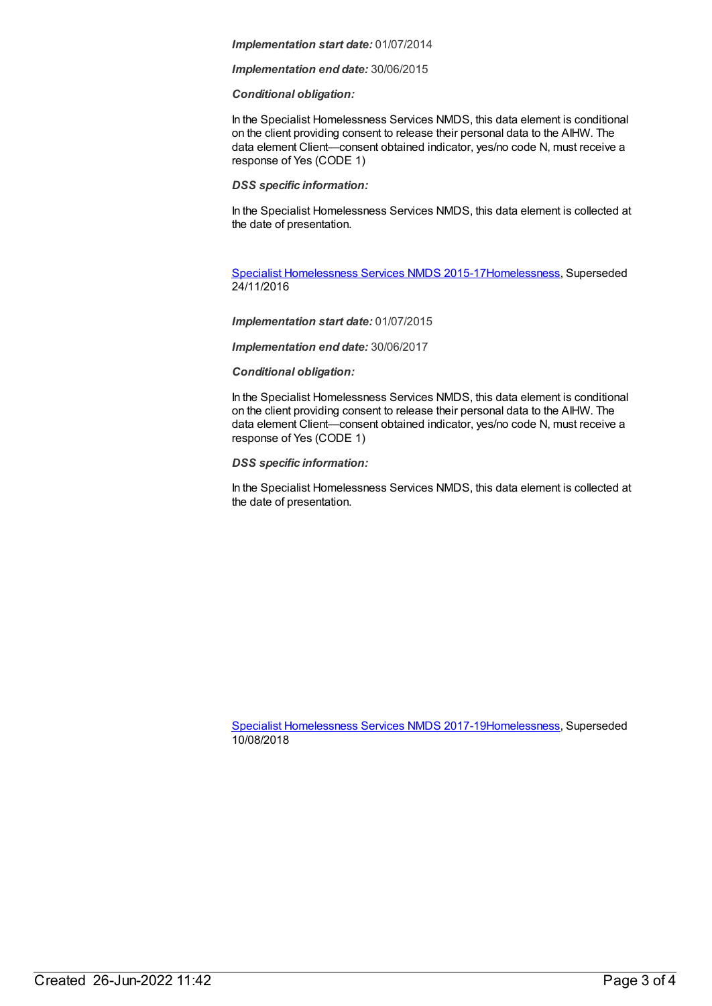#### *Implementation start date:* 01/07/2014

*Implementation end date:* 30/06/2015

#### *Conditional obligation:*

In the Specialist Homelessness Services NMDS, this data element is conditional on the client providing consent to release their personal data to the AIHW. The data element Client—consent obtained indicator, yes/no code N, must receive a response of Yes (CODE 1)

#### *DSS specific information:*

In the Specialist Homelessness Services NMDS, this data element is collected at the date of presentation.

Specialist [Homelessness](https://meteor.aihw.gov.au/content/658005) Services NMDS 2015-1[7Homelessness](https://meteor.aihw.gov.au/RegistrationAuthority/14), Superseded 24/11/2016

#### *Implementation start date:* 01/07/2015

*Implementation end date:* 30/06/2017

#### *Conditional obligation:*

In the Specialist Homelessness Services NMDS, this data element is conditional on the client providing consent to release their personal data to the AIHW. The data element Client—consent obtained indicator, yes/no code N, must receive a response of Yes (CODE 1)

#### *DSS specific information:*

In the Specialist Homelessness Services NMDS, this data element is collected at the date of presentation.

Specialist [Homelessness](https://meteor.aihw.gov.au/content/650006) Services NMDS 2017-1[9Homelessness](https://meteor.aihw.gov.au/RegistrationAuthority/14), Superseded 10/08/2018